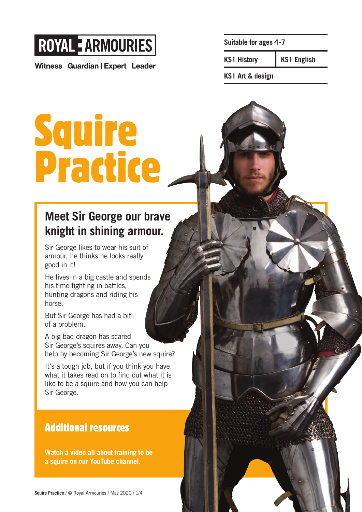# **ROYAL E ARMOURIES**

Witness | Guardian | Expert | Leader

**Suitable for ages 4 -7**

**KS1 History KS1 English**

**KS1 Art & design**

Squire Practice

### **Meet Sir George our brave knight in shining armour.**

Sir George likes to wear his suit of armour, he thinks he looks really good in it!

He lives in a big castle and spends his time fighting in battles, hunting dragons and riding his horse.

But Sir George has had a bit of a problem.

A big bad dragon has scared Sir George's squires away. Can you help by becoming Sir George's new squire?

It's a tough job, but if you think you have what it takes read on to find out what it is like to be a squire and how you can help Sir George.

### Additional resources

**Watch a video all about training to be a squire on our YouTube channel.**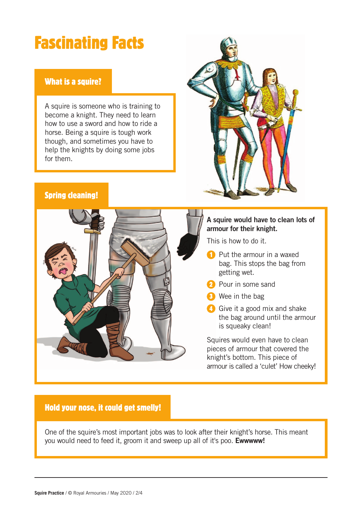# Fascinating Facts

#### What is a squire?

A squire is someone who is training to become a knight. They need to learn how to use a sword and how to ride a horse. Being a squire is tough work though, and sometimes you have to help the knights by doing some jobs for them.



#### Spring cleaning!



#### **A squire would have to clean lots of armour for their knight.**

This is how to do it.

- **Put the armour in a waxed** bag. This stops the bag from getting wet.
- **2** Pour in some sand
- **3** Wee in the bag

**Give it a good mix and shake** the bag around until the armour is squeaky clean!

Squires would even have to clean pieces of armour that covered the knight's bottom. This piece of armour is called a 'culet' How cheeky!

#### Hold your nose, it could get smelly!

One of the squire's most important jobs was to look after their knight's horse. This meant you would need to feed it, groom it and sweep up all of it's poo. **Ewwwww!**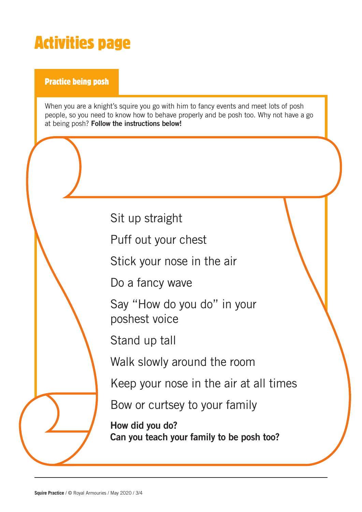## Activities page

Practice being posh

When you are a knight's squire you go with him to fancy events and meet lots of posh people, so you need to know how to behave properly and be posh too. Why not have a go at being posh? **Follow the instructions below!**

Sit up straight

Puff out your chest

Stick your nose in the air

Do a fancy wave

Say "How do you do" in your poshest voice

Stand up tall

Walk slowly around the room

Keep your nose in the air at all times

Bow or curtsey to your family

**How did you do? Can you teach your family to be posh too?**